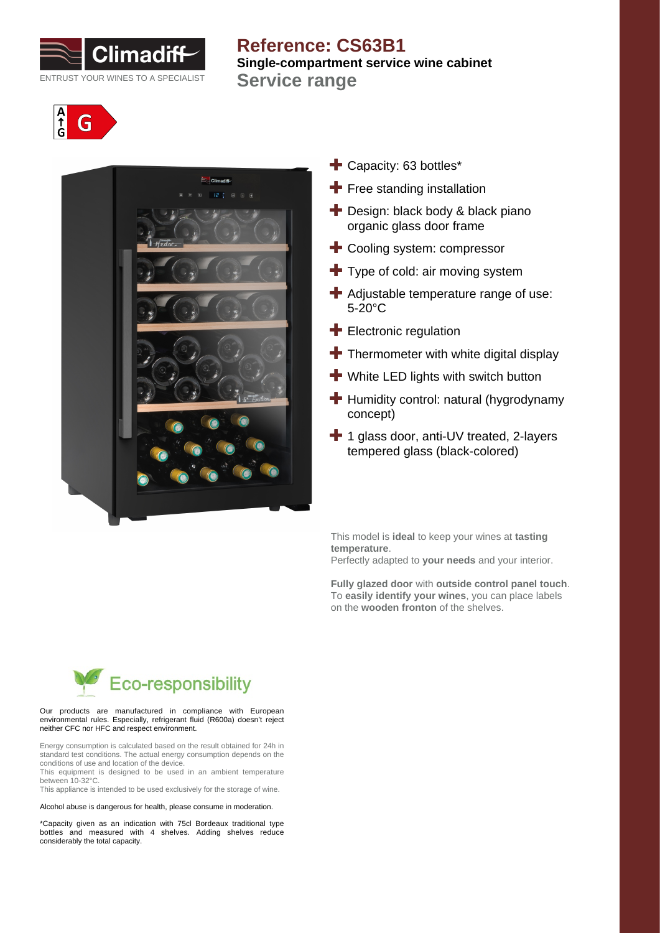

# **Reference: CS63B1 Single-compartment service wine cabinet Service range**





- **+** Capacity: 63 bottles\*
- $\blacktriangleright$  Free standing installation
- **+** Design: black body & black piano organic glass door frame
- Cooling system: compressor
- $\blacktriangleright$  Type of cold: air moving system
- Adjustable temperature range of use: 5-20°C
- **Electronic regulation**
- $\blacksquare$  Thermometer with white digital display
- **+** White LED lights with switch button
- $\blacksquare$  Humidity control: natural (hygrodynamy concept)
- <sup>1</sup> 1 glass door, anti-UV treated, 2-layers tempered glass (black-colored)

This model is **ideal** to keep your wines at **tasting temperature**. Perfectly adapted to **your needs** and your interior.

**Fully glazed door** with **outside control panel touch**. To **easily identify your wines**, you can place labels on the **wooden fronton** of the shelves.



#### Our products are manufactured in compliance with European environmental rules. Especially, refrigerant fluid (R600a) doesn't reject neither CFC nor HFC and respect environment.

Energy consumption is calculated based on the result obtained for 24h in standard test conditions. The actual energy consumption depends on the conditions of use and location of the device.

This equipment is designed to be used in an ambient temperature between 10-32°C.

This appliance is intended to be used exclusively for the storage of wine.

Alcohol abuse is dangerous for health, please consume in moderation.

\*Capacity given as an indication with 75cl Bordeaux traditional type bottles and measured with 4 shelves. Adding shelves reduce considerably the total capacity.